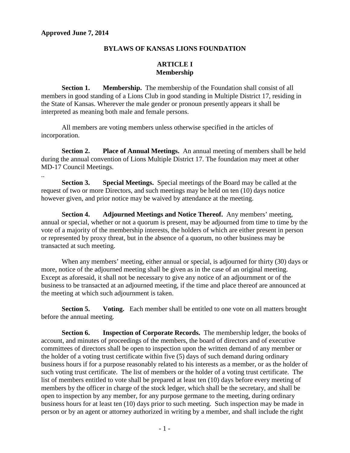..

#### **BYLAWS OF KANSAS LIONS FOUNDATION**

# **ARTICLE I Membership**

**Section 1.** Membership. The membership of the Foundation shall consist of all members in good standing of a Lions Club in good standing in Multiple District 17, residing in the State of Kansas. Wherever the male gender or pronoun presently appears it shall be interpreted as meaning both male and female persons.

All members are voting members unless otherwise specified in the articles of incorporation.

**Section 2. Place of Annual Meetings.** An annual meeting of members shall be held during the annual convention of Lions Multiple District 17. The foundation may meet at other MD-17 Council Meetings.

**Section 3. Special Meetings.** Special meetings of the Board may be called at the request of two or more Directors, and such meetings may be held on ten (10) days notice however given, and prior notice may be waived by attendance at the meeting.

**Section 4. Adjourned Meetings and Notice Thereof.** Any members' meeting, annual or special, whether or not a quorum is present, may be adjourned from time to time by the vote of a majority of the membership interests, the holders of which are either present in person or represented by proxy threat, but in the absence of a quorum, no other business may be transacted at such meeting.

When any members' meeting, either annual or special, is adjourned for thirty (30) days or more, notice of the adjourned meeting shall be given as in the case of an original meeting. Except as aforesaid, it shall not be necessary to give any notice of an adjournment or of the business to be transacted at an adjourned meeting, if the time and place thereof are announced at the meeting at which such adjournment is taken.

**Section 5. Voting.** Each member shall be entitled to one vote on all matters brought before the annual meeting.

**Section 6. Inspection of Corporate Records.** The membership ledger, the books of account, and minutes of proceedings of the members, the board of directors and of executive committees of directors shall be open to inspection upon the written demand of any member or the holder of a voting trust certificate within five (5) days of such demand during ordinary business hours if for a purpose reasonably related to his interests as a member, or as the holder of such voting trust certificate. The list of members or the holder of a voting trust certificate. The list of members entitled to vote shall be prepared at least ten (10) days before every meeting of members by the officer in charge of the stock ledger, which shall be the secretary, and shall be open to inspection by any member, for any purpose germane to the meeting, during ordinary business hours for at least ten (10) days prior to such meeting. Such inspection may be made in person or by an agent or attorney authorized in writing by a member, and shall include the right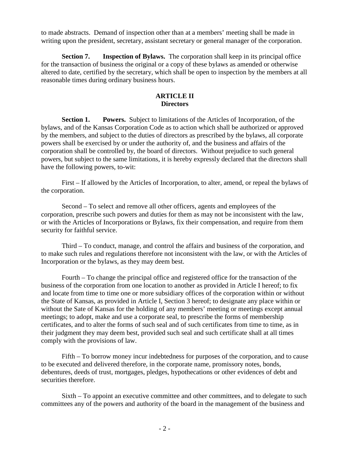to made abstracts. Demand of inspection other than at a members' meeting shall be made in writing upon the president, secretary, assistant secretary or general manager of the corporation.

**Section 7.** Inspection of Bylaws. The corporation shall keep in its principal office for the transaction of business the original or a copy of these bylaws as amended or otherwise altered to date, certified by the secretary, which shall be open to inspection by the members at all reasonable times during ordinary business hours.

# **ARTICLE II Directors**

**Section 1. Powers.** Subject to limitations of the Articles of Incorporation, of the bylaws, and of the Kansas Corporation Code as to action which shall be authorized or approved by the members, and subject to the duties of directors as prescribed by the bylaws, all corporate powers shall be exercised by or under the authority of, and the business and affairs of the corporation shall be controlled by, the board of directors. Without prejudice to such general powers, but subject to the same limitations, it is hereby expressly declared that the directors shall have the following powers, to-wit:

First – If allowed by the Articles of Incorporation, to alter, amend, or repeal the bylaws of the corporation.

Second – To select and remove all other officers, agents and employees of the corporation, prescribe such powers and duties for them as may not be inconsistent with the law, or with the Articles of Incorporations or Bylaws, fix their compensation, and require from them security for faithful service.

Third – To conduct, manage, and control the affairs and business of the corporation, and to make such rules and regulations therefore not inconsistent with the law, or with the Articles of Incorporation or the bylaws, as they may deem best.

Fourth – To change the principal office and registered office for the transaction of the business of the corporation from one location to another as provided in Article I hereof; to fix and locate from time to time one or more subsidiary offices of the corporation within or without the State of Kansas, as provided in Article I, Section 3 hereof; to designate any place within or without the Sate of Kansas for the holding of any members' meeting or meetings except annual meetings; to adopt, make and use a corporate seal, to prescribe the forms of membership certificates, and to alter the forms of such seal and of such certificates from time to time, as in their judgment they may deem best, provided such seal and such certificate shall at all times comply with the provisions of law.

Fifth – To borrow money incur indebtedness for purposes of the corporation, and to cause to be executed and delivered therefore, in the corporate name, promissory notes, bonds, debentures, deeds of trust, mortgages, pledges, hypothecations or other evidences of debt and securities therefore.

Sixth – To appoint an executive committee and other committees, and to delegate to such committees any of the powers and authority of the board in the management of the business and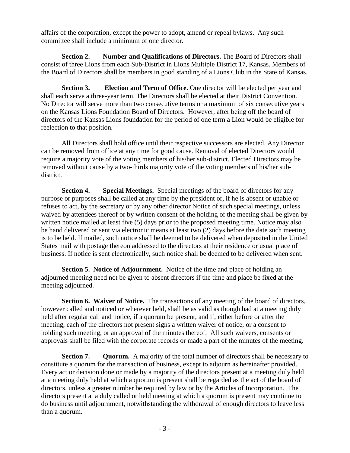affairs of the corporation, except the power to adopt, amend or repeal bylaws. Any such committee shall include a minimum of one director.

**Section 2.** Number and Qualifications of Directors. The Board of Directors shall consist of three Lions from each Sub-District in Lions Multiple District 17, Kansas. Members of the Board of Directors shall be members in good standing of a Lions Club in the State of Kansas.

**Section 3. Election and Term of Office.** One director will be elected per year and shall each serve a three-year term. The Directors shall be elected at their District Convention. No Director will serve more than two consecutive terms or a maximum of six consecutive years on the Kansas Lions Foundation Board of Directors. However, after being off the board of directors of the Kansas Lions foundation for the period of one term a Lion would be eligible for reelection to that position.

All Directors shall hold office until their respective successors are elected. Any Director can be removed from office at any time for good cause. Removal of elected Directors would require a majority vote of the voting members of his/her sub-district. Elected Directors may be removed without cause by a two-thirds majority vote of the voting members of his/her subdistrict.

**Section 4. Special Meetings.** Special meetings of the board of directors for any purpose or purposes shall be called at any time by the president or, if he is absent or unable or refuses to act, by the secretary or by any other director Notice of such special meetings, unless waived by attendees thereof or by written consent of the holding of the meeting shall be given by written notice mailed at least five (5) days prior to the proposed meeting time. Notice may also be hand delivered or sent via electronic means at least two (2) days before the date such meeting is to be held. If mailed, such notice shall be deemed to be delivered when deposited in the United States mail with postage thereon addressed to the directors at their residence or usual place of business. If notice is sent electronically, such notice shall be deemed to be delivered when sent.

**Section 5. Notice of Adjournment.** Notice of the time and place of holding an adjourned meeting need not be given to absent directors if the time and place be fixed at the meeting adjourned.

**Section 6. Waiver of Notice.** The transactions of any meeting of the board of directors, however called and noticed or wherever held, shall be as valid as though had at a meeting duly held after regular call and notice, if a quorum be present, and if, either before or after the meeting, each of the directors not present signs a written waiver of notice, or a consent to holding such meeting, or an approval of the minutes thereof. All such waivers, consents or approvals shall be filed with the corporate records or made a part of the minutes of the meeting.

**Section 7. Quorum.** A majority of the total number of directors shall be necessary to constitute a quorum for the transaction of business, except to adjourn as hereinafter provided. Every act or decision done or made by a majority of the directors present at a meeting duly held at a meeting duly held at which a quorum is present shall be regarded as the act of the board of directors, unless a greater number be required by law or by the Articles of Incorporation. The directors present at a duly called or held meeting at which a quorum is present may continue to do business until adjournment, notwithstanding the withdrawal of enough directors to leave less than a quorum.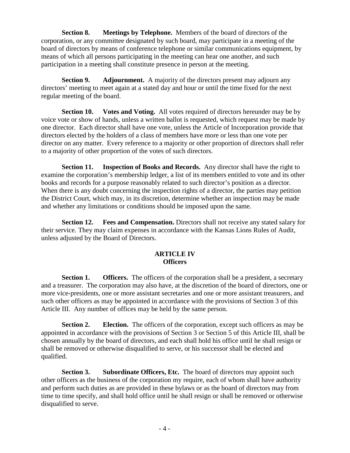**Section 8. Meetings by Telephone.** Members of the board of directors of the corporation, or any committee designated by such board, may participate in a meeting of the board of directors by means of conference telephone or similar communications equipment, by means of which all persons participating in the meeting can hear one another, and such participation in a meeting shall constitute presence in person at the meeting.

**Section 9.** Adjournment. A majority of the directors present may adjourn any directors' meeting to meet again at a stated day and hour or until the time fixed for the next regular meeting of the board.

**Section 10. Votes and Voting.** All votes required of directors hereunder may be by voice vote or show of hands, unless a written ballot is requested, which request may be made by one director. Each director shall have one vote, unless the Article of Incorporation provide that directors elected by the holders of a class of members have more or less than one vote per director on any matter. Every reference to a majority or other proportion of directors shall refer to a majority of other proportion of the votes of such directors.

**Section 11. Inspection of Books and Records.** Any director shall have the right to examine the corporation's membership ledger, a list of its members entitled to vote and its other books and records for a purpose reasonably related to such director's position as a director. When there is any doubt concerning the inspection rights of a director, the parties may petition the District Court, which may, in its discretion, determine whether an inspection may be made and whether any limitations or conditions should be imposed upon the same.

**Section 12.** Fees and Compensation. Directors shall not receive any stated salary for their service. They may claim expenses in accordance with the Kansas Lions Rules of Audit, unless adjusted by the Board of Directors.

# **ARTICLE IV Officers**

**Section 1.** Officers. The officers of the corporation shall be a president, a secretary and a treasurer. The corporation may also have, at the discretion of the board of directors, one or more vice-presidents, one or more assistant secretaries and one or more assistant treasurers, and such other officers as may be appointed in accordance with the provisions of Section 3 of this Article III. Any number of offices may be held by the same person.

**Section 2.** Election. The officers of the corporation, except such officers as may be appointed in accordance with the provisions of Section 3 or Section 5 of this Article III, shall be chosen annually by the board of directors, and each shall hold his office until he shall resign or shall be removed or otherwise disqualified to serve, or his successor shall be elected and qualified.

**Section 3.** Subordinate Officers, Etc. The board of directors may appoint such other officers as the business of the corporation my require, each of whom shall have authority and perform such duties as are provided in these bylaws or as the board of directors may from time to time specify, and shall hold office until he shall resign or shall be removed or otherwise disqualified to serve.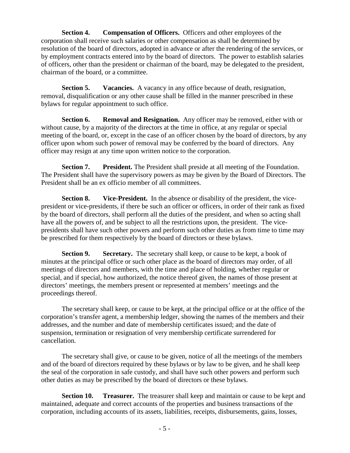**Section 4.** Compensation of Officers. Officers and other employees of the corporation shall receive such salaries or other compensation as shall be determined by resolution of the board of directors, adopted in advance or after the rendering of the services, or by employment contracts entered into by the board of directors. The power to establish salaries of officers, other than the president or chairman of the board, may be delegated to the president, chairman of the board, or a committee.

**Section 5.** Vacancies. A vacancy in any office because of death, resignation, removal, disqualification or any other cause shall be filled in the manner prescribed in these bylaws for regular appointment to such office.

**Section 6.** Removal and Resignation. Any officer may be removed, either with or without cause, by a majority of the directors at the time in office, at any regular or special meeting of the board, or, except in the case of an officer chosen by the board of directors, by any officer upon whom such power of removal may be conferred by the board of directors. Any officer may resign at any time upon written notice to the corporation.

**Section 7.** President. The President shall preside at all meeting of the Foundation. The President shall have the supervisory powers as may be given by the Board of Directors. The President shall be an ex officio member of all committees.

**Section 8. Vice-President.** In the absence or disability of the president, the vicepresident or vice-presidents, if there be such an officer or officers, in order of their rank as fixed by the board of directors, shall perform all the duties of the president, and when so acting shall have all the powers of, and be subject to all the restrictions upon, the president. The vicepresidents shall have such other powers and perform such other duties as from time to time may be prescribed for them respectively by the board of directors or these bylaws.

**Section 9.** Secretary. The secretary shall keep, or cause to be kept, a book of minutes at the principal office or such other place as the board of directors may order, of all meetings of directors and members, with the time and place of holding, whether regular or special, and if special, how authorized, the notice thereof given, the names of those present at directors' meetings, the members present or represented at members' meetings and the proceedings thereof.

The secretary shall keep, or cause to be kept, at the principal office or at the office of the corporation's transfer agent, a membership ledger, showing the names of the members and their addresses, and the number and date of membership certificates issued; and the date of suspension, termination or resignation of very membership certificate surrendered for cancellation.

The secretary shall give, or cause to be given, notice of all the meetings of the members and of the board of directors required by these bylaws or by law to be given, and he shall keep the seal of the corporation in safe custody, and shall have such other powers and perform such other duties as may be prescribed by the board of directors or these bylaws.

**Section 10. Treasurer.** The treasurer shall keep and maintain or cause to be kept and maintained, adequate and correct accounts of the properties and business transactions of the corporation, including accounts of its assets, liabilities, receipts, disbursements, gains, losses,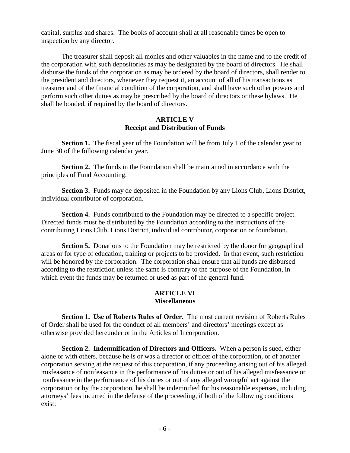capital, surplus and shares. The books of account shall at all reasonable times be open to inspection by any director.

The treasurer shall deposit all monies and other valuables in the name and to the credit of the corporation with such depositories as may be designated by the board of directors. He shall disburse the funds of the corporation as may be ordered by the board of directors, shall render to the president and directors, whenever they request it, an account of all of his transactions as treasurer and of the financial condition of the corporation, and shall have such other powers and perform such other duties as may be prescribed by the board of directors or these bylaws. He shall be bonded, if required by the board of directors.

# **ARTICLE V Receipt and Distribution of Funds**

**Section 1.** The fiscal year of the Foundation will be from July 1 of the calendar year to June 30 of the following calendar year.

**Section 2.** The funds in the Foundation shall be maintained in accordance with the principles of Fund Accounting.

**Section 3.** Funds may de deposited in the Foundation by any Lions Club, Lions District, individual contributor of corporation.

**Section 4.** Funds contributed to the Foundation may be directed to a specific project. Directed funds must be distributed by the Foundation according to the instructions of the contributing Lions Club, Lions District, individual contributor, corporation or foundation.

**Section 5.** Donations to the Foundation may be restricted by the donor for geographical areas or for type of education, training or projects to be provided. In that event, such restriction will be honored by the corporation. The corporation shall ensure that all funds are disbursed according to the restriction unless the same is contrary to the purpose of the Foundation, in which event the funds may be returned or used as part of the general fund.

### **ARTICLE VI Miscellaneous**

**Section 1. Use of Roberts Rules of Order.** The most current revision of Roberts Rules of Order shall be used for the conduct of all members' and directors' meetings except as otherwise provided hereunder or in the Articles of Incorporation.

**Section 2. Indemnification of Directors and Officers.** When a person is sued, either alone or with others, because he is or was a director or officer of the corporation, or of another corporation serving at the request of this corporation, if any proceeding arising out of his alleged misfeasance of nonfeasance in the performance of his duties or out of his alleged misfeasance or nonfeasance in the performance of his duties or out of any alleged wrongful act against the corporation or by the corporation, he shall be indemnified for his reasonable expenses, including attorneys' fees incurred in the defense of the proceeding, if both of the following conditions exist: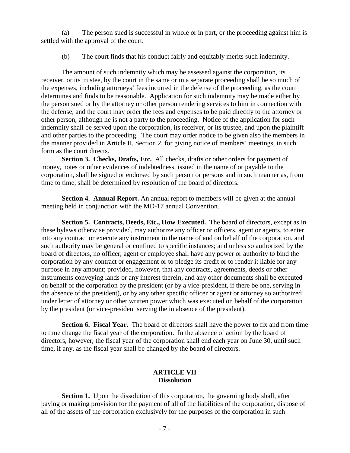(a) The person sued is successful in whole or in part, or the proceeding against him is settled with the approval of the court.

(b) The court finds that his conduct fairly and equitably merits such indemnity.

The amount of such indemnity which may be assessed against the corporation, its receiver, or its trustee, by the court in the same or in a separate proceeding shall be so much of the expenses, including attorneys' fees incurred in the defense of the proceeding, as the court determines and finds to be reasonable. Application for such indemnity may be made either by the person sued or by the attorney or other person rendering services to him in connection with the defense, and the court may order the fees and expenses to be paid directly to the attorney or other person, although he is not a party to the proceeding. Notice of the application for such indemnity shall be served upon the corporation, its receiver, or its trustee, and upon the plaintiff and other parties to the proceeding. The court may order notice to be given also the members in the manner provided in Article II, Section 2, for giving notice of members' meetings, in such form as the court directs.

**Section 3. Checks, Drafts, Etc.** All checks, drafts or other orders for payment of money, notes or other evidences of indebtedness, issued in the name of or payable to the corporation, shall be signed or endorsed by such person or persons and in such manner as, from time to time, shall be determined by resolution of the board of directors.

**Section 4. Annual Report.** An annual report to members will be given at the annual meeting held in conjunction with the MD-17 annual Convention.

**Section 5. Contracts, Deeds, Etc., How Executed.** The board of directors, except as in these bylaws otherwise provided, may authorize any officer or officers, agent or agents, to enter into any contract or execute any instrument in the name of and on behalf of the corporation, and such authority may be general or confined to specific instances; and unless so authorized by the board of directors, no officer, agent or employee shall have any power or authority to bind the corporation by any contract or engagement or to pledge its credit or to render it liable for any purpose in any amount; provided, however, that any contracts, agreements, deeds or other instruments conveying lands or any interest therein, and any other documents shall be executed on behalf of the corporation by the president (or by a vice-president, if there be one, serving in the absence of the president), or by any other specific officer or agent or attorney so authorized under letter of attorney or other written power which was executed on behalf of the corporation by the president (or vice-president serving the in absence of the president).

**Section 6. Fiscal Year.** The board of directors shall have the power to fix and from time to time change the fiscal year of the corporation. In the absence of action by the board of directors, however, the fiscal year of the corporation shall end each year on June 30, until such time, if any, as the fiscal year shall be changed by the board of directors.

# **ARTICLE VII Dissolution**

**Section 1.** Upon the dissolution of this corporation, the governing body shall, after paying or making provision for the payment of all of the liabilities of the corporation, dispose of all of the assets of the corporation exclusively for the purposes of the corporation in such